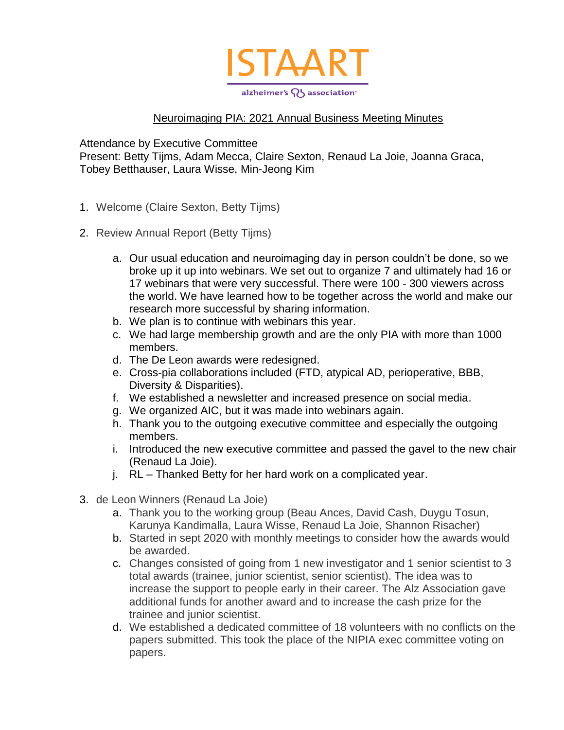

## Neuroimaging PIA: 2021 Annual Business Meeting Minutes

Attendance by Executive Committee

Present: Betty Tijms, Adam Mecca, Claire Sexton, Renaud La Joie, Joanna Graca, Tobey Betthauser, Laura Wisse, Min-Jeong Kim

- 1. Welcome (Claire Sexton, Betty Tijms)
- 2. Review Annual Report (Betty Tijms)
	- a. Our usual education and neuroimaging day in person couldn't be done, so we broke up it up into webinars. We set out to organize 7 and ultimately had 16 or 17 webinars that were very successful. There were 100 - 300 viewers across the world. We have learned how to be together across the world and make our research more successful by sharing information.
	- b. We plan is to continue with webinars this year.
	- c. We had large membership growth and are the only PIA with more than 1000 members.
	- d. The De Leon awards were redesigned.
	- e. Cross-pia collaborations included (FTD, atypical AD, perioperative, BBB, Diversity & Disparities).
	- f. We established a newsletter and increased presence on social media.
	- g. We organized AIC, but it was made into webinars again.
	- h. Thank you to the outgoing executive committee and especially the outgoing members.
	- i. Introduced the new executive committee and passed the gavel to the new chair (Renaud La Joie).
	- j. RL Thanked Betty for her hard work on a complicated year.
- 3. de Leon Winners (Renaud La Joie)
	- a. Thank you to the working group (Beau Ances, David Cash, Duygu Tosun, Karunya Kandimalla, Laura Wisse, Renaud La Joie, Shannon Risacher)
	- b. Started in sept 2020 with monthly meetings to consider how the awards would be awarded.
	- c. Changes consisted of going from 1 new investigator and 1 senior scientist to 3 total awards (trainee, junior scientist, senior scientist). The idea was to increase the support to people early in their career. The Alz Association gave additional funds for another award and to increase the cash prize for the trainee and junior scientist.
	- d. We established a dedicated committee of 18 volunteers with no conflicts on the papers submitted. This took the place of the NIPIA exec committee voting on papers.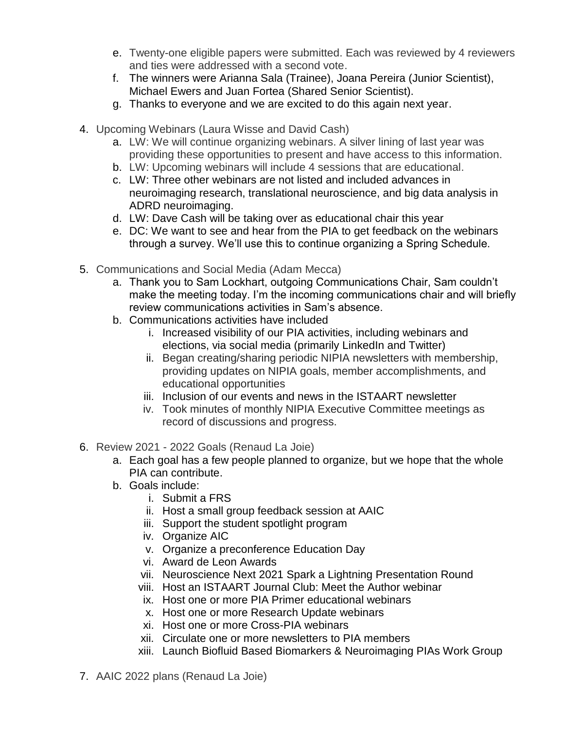- e. Twenty-one eligible papers were submitted. Each was reviewed by 4 reviewers and ties were addressed with a second vote.
- f. The winners were Arianna Sala (Trainee), Joana Pereira (Junior Scientist), Michael Ewers and Juan Fortea (Shared Senior Scientist).
- g. Thanks to everyone and we are excited to do this again next year.
- 4. Upcoming Webinars (Laura Wisse and David Cash)
	- a. LW: We will continue organizing webinars. A silver lining of last year was providing these opportunities to present and have access to this information.
	- b. LW: Upcoming webinars will include 4 sessions that are educational.
	- c. LW: Three other webinars are not listed and included advances in neuroimaging research, translational neuroscience, and big data analysis in ADRD neuroimaging.
	- d. LW: Dave Cash will be taking over as educational chair this year
	- e. DC: We want to see and hear from the PIA to get feedback on the webinars through a survey. We'll use this to continue organizing a Spring Schedule.
- 5. Communications and Social Media (Adam Mecca)
	- a. Thank you to Sam Lockhart, outgoing Communications Chair, Sam couldn't make the meeting today. I'm the incoming communications chair and will briefly review communications activities in Sam's absence.
	- b. Communications activities have included
		- i. Increased visibility of our PIA activities, including webinars and elections, via social media (primarily LinkedIn and Twitter)
		- ii. Began creating/sharing periodic NIPIA newsletters with membership, providing updates on NIPIA goals, member accomplishments, and educational opportunities
		- iii. Inclusion of our events and news in the ISTAART newsletter
		- iv. Took minutes of monthly NIPIA Executive Committee meetings as record of discussions and progress.
- 6. Review 2021 2022 Goals (Renaud La Joie)
	- a. Each goal has a few people planned to organize, but we hope that the whole PIA can contribute.
	- b. Goals include:
		- i. Submit a FRS
		- ii. Host a small group feedback session at AAIC
		- iii. Support the student spotlight program
		- iv. Organize AIC
		- v. Organize a preconference Education Day
		- vi. Award de Leon Awards
		- vii. Neuroscience Next 2021 Spark a Lightning Presentation Round
		- viii. Host an ISTAART Journal Club: Meet the Author webinar
		- ix. Host one or more PIA Primer educational webinars
		- x. Host one or more Research Update webinars
		- xi. Host one or more Cross-PIA webinars
		- xii. Circulate one or more newsletters to PIA members
		- xiii. Launch Biofluid Based Biomarkers & Neuroimaging PIAs Work Group
- 7. AAIC 2022 plans (Renaud La Joie)